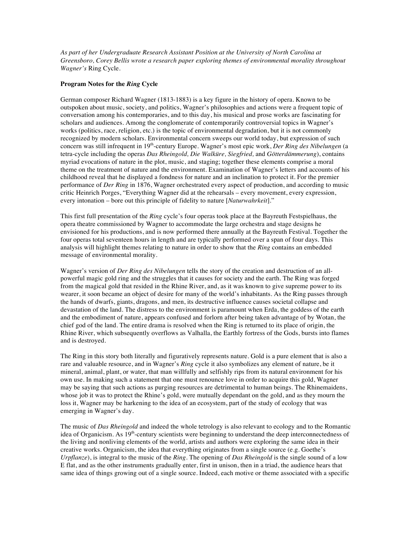*As part of her Undergraduate Research Assistant Position at the University of North Carolina at Greensboro, Corey Bellis wrote a research paper exploring themes of environmental morality throughout Wagner's* Ring Cycle.

## **Program Notes for the** *Ring* **Cycle**

German composer Richard Wagner (1813-1883) is a key figure in the history of opera. Known to be outspoken about music, society, and politics, Wagner's philosophies and actions were a frequent topic of conversation among his contemporaries, and to this day, his musical and prose works are fascinating for scholars and audiences. Among the conglomerate of contemporarily controversial topics in Wagner's works (politics, race, religion, etc.) is the topic of environmental degradation, but it is not commonly recognized by modern scholars. Environmental concern sweeps our world today, but expression of such concern was still infrequent in 19th-century Europe. Wagner's most epic work, *Der Ring des Nibelungen* (a tetra-cycle including the operas *Das Rheingold, Die Walküre, Siegfried,* and *Götterdämmerung*), contains myriad evocations of nature in the plot, music, and staging; together these elements comprise a moral theme on the treatment of nature and the environment. Examination of Wagner's letters and accounts of his childhood reveal that he displayed a fondness for nature and an inclination to protect it. For the premier performance of *Der Ring* in 1876, Wagner orchestrated every aspect of production, and according to music critic Heinrich Porges, "Everything Wagner did at the rehearsals – every movement, every expression, every intonation – bore out this principle of fidelity to nature [*Naturwahrkeit*]."

This first full presentation of the *Ring* cycle's four operas took place at the Bayreuth Festspielhaus, the opera theatre commissioned by Wagner to accommodate the large orchestra and stage designs he envisioned for his productions, and is now performed there annually at the Bayreuth Festival. Together the four operas total seventeen hours in length and are typically performed over a span of four days. This analysis will highlight themes relating to nature in order to show that the *Ring* contains an embedded message of environmental morality.

Wagner's version of *Der Ring des Nibelungen* tells the story of the creation and destruction of an allpowerful magic gold ring and the struggles that it causes for society and the earth. The Ring was forged from the magical gold that resided in the Rhine River, and, as it was known to give supreme power to its wearer, it soon became an object of desire for many of the world's inhabitants. As the Ring passes through the hands of dwarfs, giants, dragons, and men, its destructive influence causes societal collapse and devastation of the land. The distress to the environment is paramount when Erda, the goddess of the earth and the embodiment of nature, appears confused and forlorn after being taken advantage of by Wotan, the chief god of the land. The entire drama is resolved when the Ring is returned to its place of origin, the Rhine River, which subsequently overflows as Valhalla, the Earthly fortress of the Gods, bursts into flames and is destroyed.

The Ring in this story both literally and figuratively represents nature. Gold is a pure element that is also a rare and valuable resource, and in Wagner's *Ring* cycle it also symbolizes any element of nature, be it mineral, animal, plant, or water, that man willfully and selfishly rips from its natural environment for his own use. In making such a statement that one must renounce love in order to acquire this gold, Wagner may be saying that such actions as purging resources are detrimental to human beings. The Rhinemaidens, whose job it was to protect the Rhine's gold, were mutually dependant on the gold, and as they mourn the loss it, Wagner may be harkening to the idea of an ecosystem, part of the study of ecology that was emerging in Wagner's day.

The music of *Das Rheingold* and indeed the whole tetrology is also relevant to ecology and to the Romantic idea of Organicism. As  $19<sup>th</sup>$ -century scientists were beginning to understand the deep interconnectedness of the living and nonliving elements of the world, artists and authors were exploring the same idea in their creative works. Organicism, the idea that everything originates from a single source (e.g. Goethe's *Urpflanze*), is integral to the music of the *Ring*. The opening of *Das Rheingold* is the single sound of a low E flat, and as the other instruments gradually enter, first in unison, then in a triad, the audience hears that same idea of things growing out of a single source. Indeed, each motive or theme associated with a specific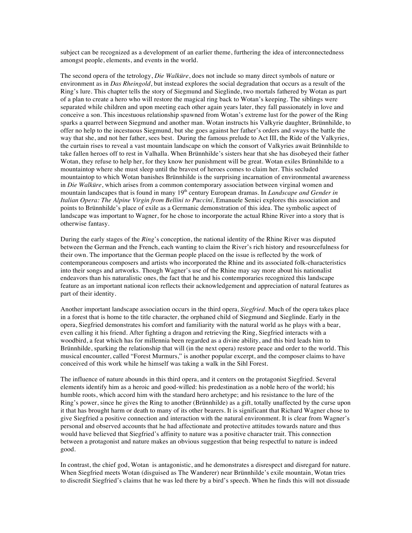subject can be recognized as a development of an earlier theme, furthering the idea of interconnectedness amongst people, elements, and events in the world.

The second opera of the tetrology, *Die Walküre*, does not include so many direct symbols of nature or environment as in *Das Rheingold*, but instead explores the social degradation that occurs as a result of the Ring's lure. This chapter tells the story of Siegmund and Sieglinde, two mortals fathered by Wotan as part of a plan to create a hero who will restore the magical ring back to Wotan's keeping. The siblings were separated while children and upon meeting each other again years later, they fall passionately in love and conceive a son. This incestuous relationship spawned from Wotan's extreme lust for the power of the Ring sparks a quarrel between Siegmund and another man. Wotan instructs his Valkyrie daughter, Brünnhilde, to offer no help to the incestuous Siegmund, but she goes against her father's orders and sways the battle the way that she, and not her father, sees best. During the famous prelude to Act III, the Ride of the Valkyries, the curtain rises to reveal a vast mountain landscape on which the consort of Valkyries await Brünnhilde to take fallen heroes off to rest in Valhalla. When Brünnhilde's sisters hear that she has disobeyed their father Wotan, they refuse to help her, for they know her punishment will be great. Wotan exiles Brünnhilde to a mountaintop where she must sleep until the bravest of heroes comes to claim her. This secluded mountaintop to which Wotan banishes Brünnhilde is the surprising incarnation of environmental awareness in *Die Walküre*, which arises from a common contemporary association between virginal women and mountain landscapes that is found in many 19<sup>th</sup> century European dramas. In *Landscape and Gender in Italian Opera: The Alpine Virgin from Bellini to Puccini*, Emanuele Senici explores this association and points to Brünnhilde's place of exile as a Germanic demonstration of this idea. The symbolic aspect of landscape was important to Wagner, for he chose to incorporate the actual Rhine River into a story that is otherwise fantasy.

During the early stages of the *Ring*'s conception, the national identity of the Rhine River was disputed between the German and the French, each wanting to claim the River's rich history and resourcefulness for their own. The importance that the German people placed on the issue is reflected by the work of contemporaneous composers and artists who incorporated the Rhine and its associated folk-characteristics into their songs and artworks. Though Wagner's use of the Rhine may say more about his nationalist endeavors than his naturalistic ones, the fact that he and his contemporaries recognized this landscape feature as an important national icon reflects their acknowledgement and appreciation of natural features as part of their identity.

Another important landscape association occurs in the third opera, *Siegfried*. Much of the opera takes place in a forest that is home to the title character, the orphaned child of Siegmund and Sieglinde. Early in the opera, Siegfried demonstrates his comfort and familiarity with the natural world as he plays with a bear, even calling it his friend. After fighting a dragon and retrieving the Ring, Siegfried interacts with a woodbird, a feat which has for millennia been regarded as a divine ability, and this bird leads him to Brünnhilde, sparking the relationship that will (in the next opera) restore peace and order to the world. This musical encounter, called "Forest Murmurs," is another popular excerpt, and the composer claims to have conceived of this work while he himself was taking a walk in the Sihl Forest.

The influence of nature abounds in this third opera, and it centers on the protagonist Siegfried. Several elements identify him as a heroic and good-willed: his predestination as a noble hero of the world; his humble roots, which accord him with the standard hero archetype; and his resistance to the lure of the Ring's power, since he gives the Ring to another (Brünnhilde) as a gift, totally unaffected by the curse upon it that has brought harm or death to many of its other bearers. It is significant that Richard Wagner chose to give Siegfried a positive connection and interaction with the natural environment. It is clear from Wagner's personal and observed accounts that he had affectionate and protective attitudes towards nature and thus would have believed that Siegfried's affinity to nature was a positive character trait. This connection between a protagonist and nature makes an obvious suggestion that being respectful to nature is indeed good.

In contrast, the chief god, Wotan is antagonistic, and he demonstrates a disrespect and disregard for nature. When Siegfried meets Wotan (disguised as The Wanderer) near Brünnhilde's exile mountain, Wotan tries to discredit Siegfried's claims that he was led there by a bird's speech. When he finds this will not dissuade